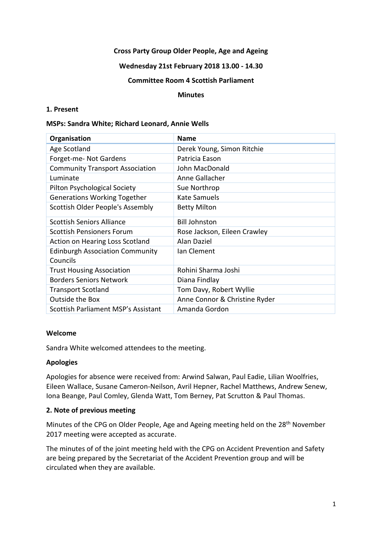### **Cross Party Group Older People, Age and Ageing**

#### **Wednesday 21st February 2018 13.00 - 14.30**

#### **Committee Room 4 Scottish Parliament**

#### **Minutes**

### **1. Present**

#### **MSPs: Sandra White; Richard Leonard, Annie Wells**

| Organisation                           | <b>Name</b>                   |
|----------------------------------------|-------------------------------|
| Age Scotland                           | Derek Young, Simon Ritchie    |
| Forget-me- Not Gardens                 | Patricia Eason                |
| <b>Community Transport Association</b> | John MacDonald                |
| Luminate                               | Anne Gallacher                |
| <b>Pilton Psychological Society</b>    | Sue Northrop                  |
| <b>Generations Working Together</b>    | <b>Kate Samuels</b>           |
| Scottish Older People's Assembly       | <b>Betty Milton</b>           |
| <b>Scottish Seniors Alliance</b>       | <b>Bill Johnston</b>          |
| Scottish Pensioners Forum              | Rose Jackson, Eileen Crawley  |
| Action on Hearing Loss Scotland        | Alan Daziel                   |
| <b>Edinburgh Association Community</b> | Ian Clement                   |
| Councils                               |                               |
| <b>Trust Housing Association</b>       | Rohini Sharma Joshi           |
| <b>Borders Seniors Network</b>         | Diana Findlay                 |
| <b>Transport Scotland</b>              | Tom Davy, Robert Wyllie       |
| Outside the Box                        | Anne Connor & Christine Ryder |
| Scottish Parliament MSP's Assistant    | Amanda Gordon                 |

### **Welcome**

Sandra White welcomed attendees to the meeting.

### **Apologies**

Apologies for absence were received from: Arwind Salwan, Paul Eadie, Lilian Woolfries, Eileen Wallace, Susane Cameron-Neilson, Avril Hepner, Rachel Matthews, Andrew Senew, Iona Beange, Paul Comley, Glenda Watt, Tom Berney, Pat Scrutton & Paul Thomas.

### **2. Note of previous meeting**

Minutes of the CPG on Older People, Age and Ageing meeting held on the 28th November 2017 meeting were accepted as accurate.

The minutes of of the joint meeting held with the CPG on Accident Prevention and Safety are being prepared by the Secretariat of the Accident Prevention group and will be circulated when they are available.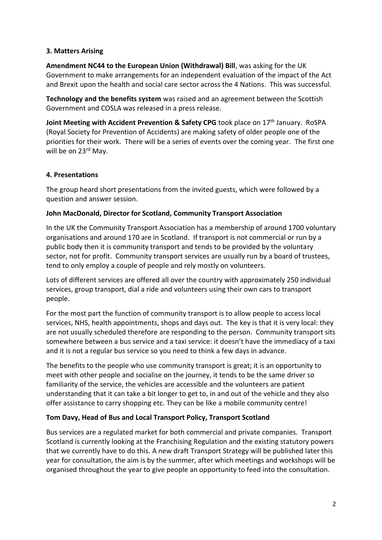# **3. Matters Arising**

**Amendment NC44 to the European Union (Withdrawal) Bill**, was asking for the UK Government to make arrangements for an independent evaluation of the impact of the Act and Brexit upon the health and social care sector across the 4 Nations. This was successful.

**Technology and the benefits system** was raised and an agreement between the Scottish Government and COSLA was released in a press release.

**Joint Meeting with Accident Prevention & Safety CPG** took place on 17<sup>th</sup> January. RoSPA (Royal Society for Prevention of Accidents) are making safety of older people one of the priorities for their work. There will be a series of events over the coming year. The first one will be on 23rd May.

### **4. Presentations**

The group heard short presentations from the invited guests, which were followed by a question and answer session.

### **John MacDonald, Director for Scotland, Community Transport Association**

In the UK the Community Transport Association has a membership of around 1700 voluntary organisations and around 170 are in Scotland. If transport is not commercial or run by a public body then it is community transport and tends to be provided by the voluntary sector, not for profit. Community transport services are usually run by a board of trustees, tend to only employ a couple of people and rely mostly on volunteers.

Lots of different services are offered all over the country with approximately 250 individual services, group transport, dial a ride and volunteers using their own cars to transport people.

For the most part the function of community transport is to allow people to access local services, NHS, health appointments, shops and days out. The key is that it is very local: they are not usually scheduled therefore are responding to the person. Community transport sits somewhere between a bus service and a taxi service: it doesn't have the immediacy of a taxi and it is not a regular bus service so you need to think a few days in advance.

The benefits to the people who use community transport is great; it is an opportunity to meet with other people and socialise on the journey, it tends to be the same driver so familiarity of the service, the vehicles are accessible and the volunteers are patient understanding that it can take a bit longer to get to, in and out of the vehicle and they also offer assistance to carry shopping etc. They can be like a mobile community centre!

### **Tom Davy, Head of Bus and Local Transport Policy, Transport Scotland**

Bus services are a regulated market for both commercial and private companies. Transport Scotland is currently looking at the Franchising Regulation and the existing statutory powers that we currently have to do this. A new draft Transport Strategy will be published later this year for consultation, the aim is by the summer, after which meetings and workshops will be organised throughout the year to give people an opportunity to feed into the consultation.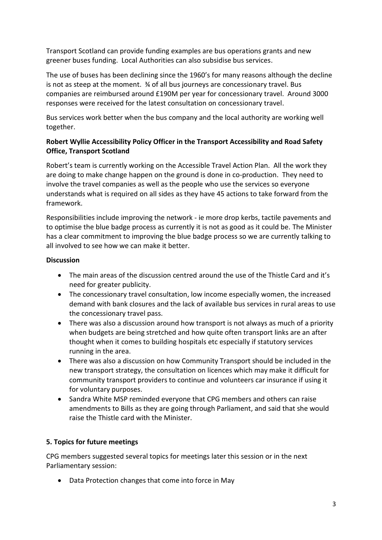Transport Scotland can provide funding examples are bus operations grants and new greener buses funding. Local Authorities can also subsidise bus services.

The use of buses has been declining since the 1960's for many reasons although the decline is not as steep at the moment.  $\frac{3}{4}$  of all bus journeys are concessionary travel. Bus companies are reimbursed around £190M per year for concessionary travel. Around 3000 responses were received for the latest consultation on concessionary travel.

Bus services work better when the bus company and the local authority are working well together.

# **Robert Wyllie Accessibility Policy Officer in the Transport Accessibility and Road Safety Office, Transport Scotland**

Robert's team is currently working on the Accessible Travel Action Plan. All the work they are doing to make change happen on the ground is done in co-production. They need to involve the travel companies as well as the people who use the services so everyone understands what is required on all sides as they have 45 actions to take forward from the framework.

Responsibilities include improving the network - ie more drop kerbs, tactile pavements and to optimise the blue badge process as currently it is not as good as it could be. The Minister has a clear commitment to improving the blue badge process so we are currently talking to all involved to see how we can make it better.

# **Discussion**

- The main areas of the discussion centred around the use of the Thistle Card and it's need for greater publicity.
- The concessionary travel consultation, low income especially women, the increased demand with bank closures and the lack of available bus services in rural areas to use the concessionary travel pass.
- There was also a discussion around how transport is not always as much of a priority when budgets are being stretched and how quite often transport links are an after thought when it comes to building hospitals etc especially if statutory services running in the area.
- There was also a discussion on how Community Transport should be included in the new transport strategy, the consultation on licences which may make it difficult for community transport providers to continue and volunteers car insurance if using it for voluntary purposes.
- Sandra White MSP reminded everyone that CPG members and others can raise amendments to Bills as they are going through Parliament, and said that she would raise the Thistle card with the Minister.

# **5. Topics for future meetings**

CPG members suggested several topics for meetings later this session or in the next Parliamentary session:

• Data Protection changes that come into force in May